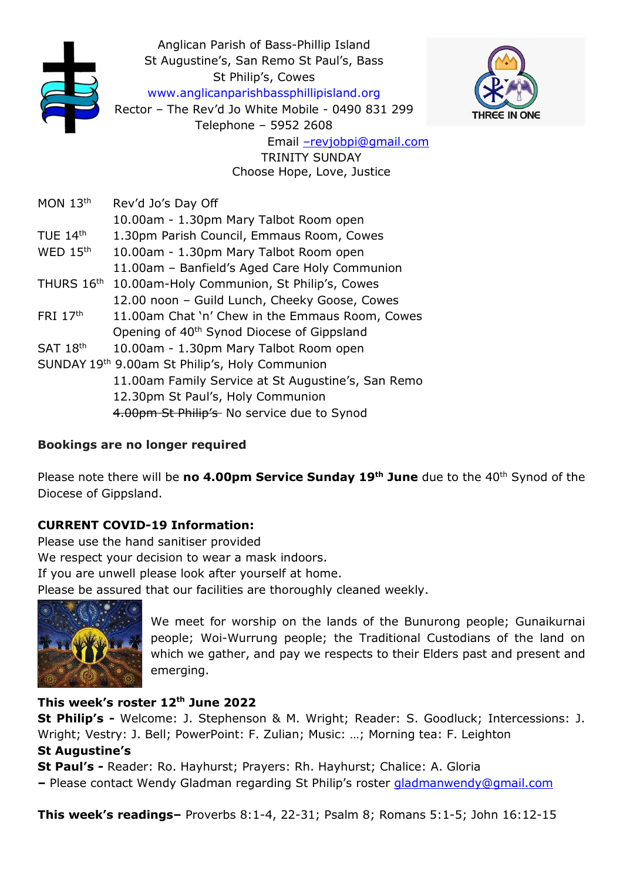

#### Bookings are no longer required

Please note there will be no 4.00pm Service Sunday 19<sup>th</sup> June due to the 40<sup>th</sup> Synod of the Diocese of Gippsland.

### CURRENT COVID-19 Information:

Please use the hand sanitiser provided We respect your decision to wear a mask indoors. If you are unwell please look after yourself at home. Please be assured that our facilities are thoroughly cleaned weekly.



We meet for worship on the lands of the Bunurong people; Gunaikurnai people; Woi-Wurrung people; the Traditional Custodians of the land on which we gather, and pay we respects to their Elders past and present and emerging.

### This week's roster 12<sup>th</sup> June 2022

St Philip's - Welcome: J. Stephenson & M. Wright; Reader: S. Goodluck; Intercessions: J. Wright; Vestry: J. Bell; PowerPoint: F. Zulian; Music: …; Morning tea: F. Leighton St Augustine's

St Paul's - Reader: Ro. Hayhurst; Prayers: Rh. Hayhurst; Chalice: A. Gloria

– Please contact Wendy Gladman regarding St Philip's roster gladmanwendy@gmail.com

This week's readings– Proverbs 8:1-4, 22-31; Psalm 8; Romans 5:1-5; John 16:12-15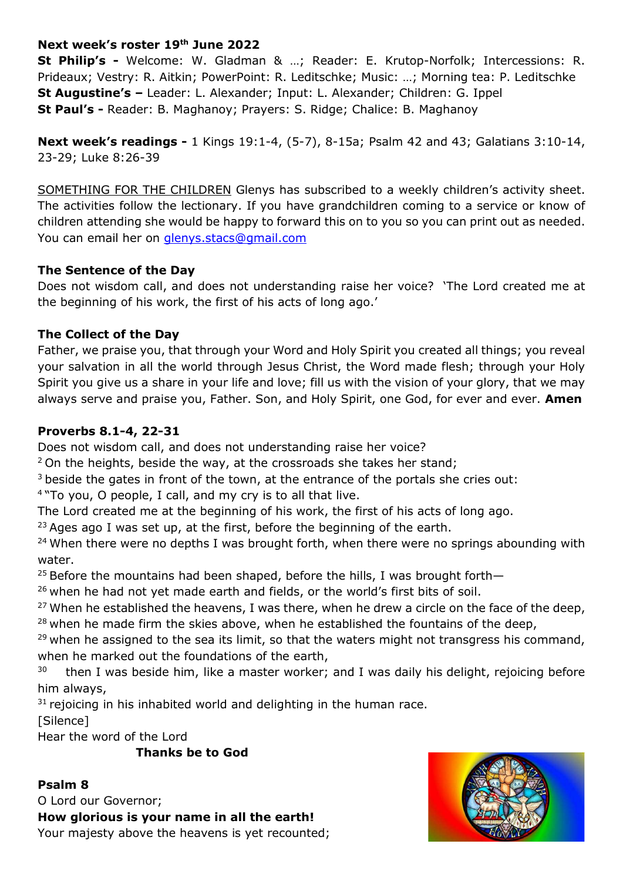### Next week's roster 19th June 2022

St Philip's - Welcome: W. Gladman & …; Reader: E. Krutop-Norfolk; Intercessions: R. Prideaux; Vestry: R. Aitkin; PowerPoint: R. Leditschke; Music: …; Morning tea: P. Leditschke St Augustine's – Leader: L. Alexander; Input: L. Alexander; Children: G. Ippel St Paul's - Reader: B. Maghanoy; Prayers: S. Ridge; Chalice: B. Maghanoy

Next week's readings - 1 Kings 19:1-4, (5-7), 8-15a; Psalm 42 and 43; Galatians 3:10-14, 23-29; Luke 8:26-39

SOMETHING FOR THE CHILDREN Glenys has subscribed to a weekly children's activity sheet. The activities follow the lectionary. If you have grandchildren coming to a service or know of children attending she would be happy to forward this on to you so you can print out as needed. You can email her on glenys.stacs@gmail.com

### The Sentence of the Day

Does not wisdom call, and does not understanding raise her voice? 'The Lord created me at the beginning of his work, the first of his acts of long ago.'

# The Collect of the Day

Father, we praise you, that through your Word and Holy Spirit you created all things; you reveal your salvation in all the world through Jesus Christ, the Word made flesh; through your Holy Spirit you give us a share in your life and love; fill us with the vision of your glory, that we may always serve and praise you, Father. Son, and Holy Spirit, one God, for ever and ever. Amen

# Proverbs 8.1-4, 22-31

Does not wisdom call, and does not understanding raise her voice?

 $2$  On the heights, beside the way, at the crossroads she takes her stand;

<sup>3</sup> beside the gates in front of the town, at the entrance of the portals she cries out:

<sup>4</sup>"To you, O people, I call, and my cry is to all that live.

The Lord created me at the beginning of his work, the first of his acts of long ago.

<sup>23</sup> Ages ago I was set up, at the first, before the beginning of the earth.

 $24$  When there were no depths I was brought forth, when there were no springs abounding with water.

<sup>25</sup> Before the mountains had been shaped, before the hills, I was brought forth-

 $26$  when he had not yet made earth and fields, or the world's first bits of soil.

<sup>27</sup> When he established the heavens, I was there, when he drew a circle on the face of the deep,  $28$  when he made firm the skies above, when he established the fountains of the deep,

 $29$  when he assigned to the sea its limit, so that the waters might not transgress his command, when he marked out the foundations of the earth,

 $30$  then I was beside him, like a master worker; and I was daily his delight, rejoicing before him always,

 $31$  rejoicing in his inhabited world and delighting in the human race.

[Silence]

Hear the word of the Lord

Thanks be to God

# Psalm 8

O Lord our Governor; How glorious is your name in all the earth! Your majesty above the heavens is yet recounted;

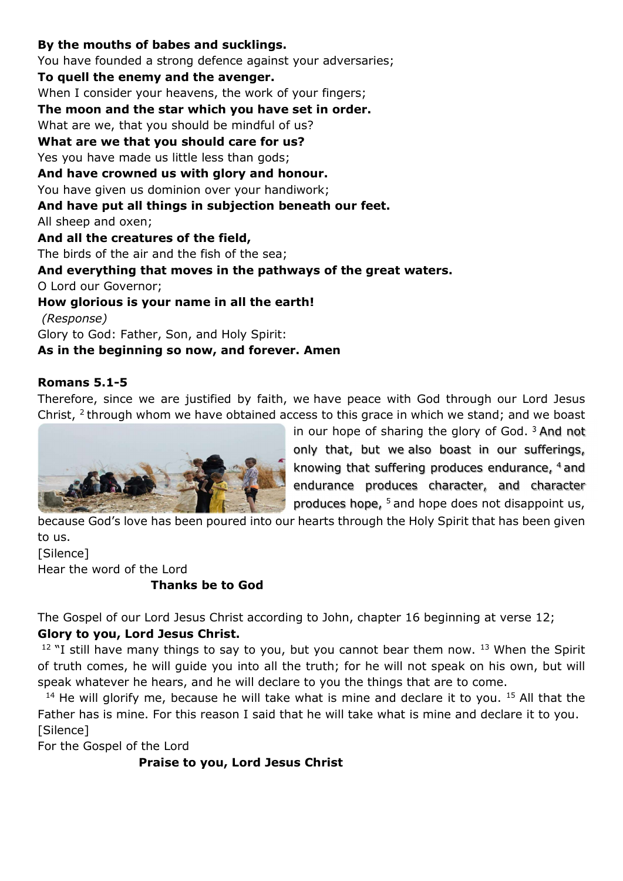### By the mouths of babes and sucklings.

You have founded a strong defence against your adversaries; To quell the enemy and the avenger. When I consider your heavens, the work of your fingers; The moon and the star which you have set in order. What are we, that you should be mindful of us? What are we that you should care for us? Yes you have made us little less than gods; And have crowned us with glory and honour. You have given us dominion over your handiwork; And have put all things in subjection beneath our feet. All sheep and oxen; And all the creatures of the field, The birds of the air and the fish of the sea; And everything that moves in the pathways of the great waters. O Lord our Governor; How glorious is your name in all the earth! (Response) Glory to God: Father, Son, and Holy Spirit: As in the beginning so now, and forever. Amen

#### Romans 5.1-5

Therefore, since we are justified by faith, we have peace with God through our Lord Jesus Christ,  $2$  through whom we have obtained access to this grace in which we stand; and we boast



in our hope of sharing the glory of God.<sup>3</sup> And not only that, but we also boast in our sufferings, knowing that suffering produces endurance, 4 and endurance produces character, and character produces hope,  $5$  and hope does not disappoint us,

because God's love has been poured into our hearts through the Holy Spirit that has been given to us.

[Silence] Hear the word of the Lord Thanks be to God

The Gospel of our Lord Jesus Christ according to John, chapter 16 beginning at verse 12;

#### Glory to you, Lord Jesus Christ.

 $12$  "I still have many things to say to you, but you cannot bear them now.  $13$  When the Spirit of truth comes, he will guide you into all the truth; for he will not speak on his own, but will speak whatever he hears, and he will declare to you the things that are to come.

 $14$  He will glorify me, because he will take what is mine and declare it to you.  $15$  All that the Father has is mine. For this reason I said that he will take what is mine and declare it to you. [Silence]

For the Gospel of the Lord

Praise to you, Lord Jesus Christ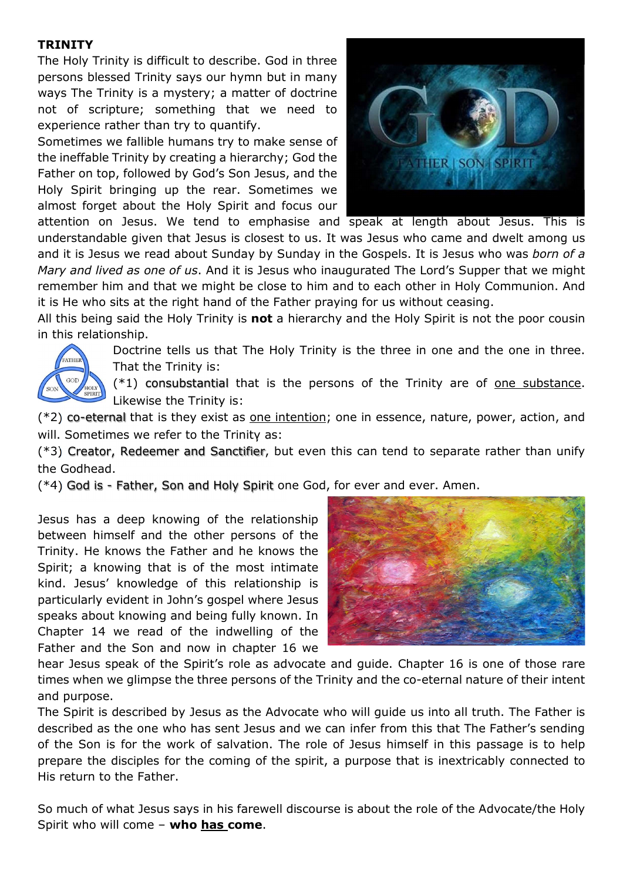### **TRINITY**

The Holy Trinity is difficult to describe. God in three persons blessed Trinity says our hymn but in many ways The Trinity is a mystery; a matter of doctrine not of scripture; something that we need to experience rather than try to quantify.

Sometimes we fallible humans try to make sense of the ineffable Trinity by creating a hierarchy; God the Father on top, followed by God's Son Jesus, and the Holy Spirit bringing up the rear. Sometimes we almost forget about the Holy Spirit and focus our



attention on Jesus. We tend to emphasise and speak at length about Jesus. This is understandable given that Jesus is closest to us. It was Jesus who came and dwelt among us and it is Jesus we read about Sunday by Sunday in the Gospels. It is Jesus who was born of a Mary and lived as one of us. And it is Jesus who inaugurated The Lord's Supper that we might remember him and that we might be close to him and to each other in Holy Communion. And it is He who sits at the right hand of the Father praying for us without ceasing.

All this being said the Holy Trinity is not a hierarchy and the Holy Spirit is not the poor cousin in this relationship.



Doctrine tells us that The Holy Trinity is the three in one and the one in three. That the Trinity is:

 $(*1)$  consubstantial that is the persons of the Trinity are of one substance. Likewise the Trinity is:

 $(*2)$  co-eternal that is they exist as one intention; one in essence, nature, power, action, and will. Sometimes we refer to the Trinity as:

(\*3) Creator, Redeemer and Sanctifier, but even this can tend to separate rather than unify the Godhead.

(\*4) God is - Father, Son and Holy Spirit one God, for ever and ever. Amen.

Jesus has a deep knowing of the relationship between himself and the other persons of the Trinity. He knows the Father and he knows the Spirit; a knowing that is of the most intimate kind. Jesus' knowledge of this relationship is particularly evident in John's gospel where Jesus speaks about knowing and being fully known. In Chapter 14 we read of the indwelling of the Father and the Son and now in chapter 16 we



hear Jesus speak of the Spirit's role as advocate and guide. Chapter 16 is one of those rare times when we glimpse the three persons of the Trinity and the co-eternal nature of their intent and purpose.

The Spirit is described by Jesus as the Advocate who will guide us into all truth. The Father is described as the one who has sent Jesus and we can infer from this that The Father's sending of the Son is for the work of salvation. The role of Jesus himself in this passage is to help prepare the disciples for the coming of the spirit, a purpose that is inextricably connected to His return to the Father.

So much of what Jesus says in his farewell discourse is about the role of the Advocate/the Holy Spirit who will come  $-$  who has come.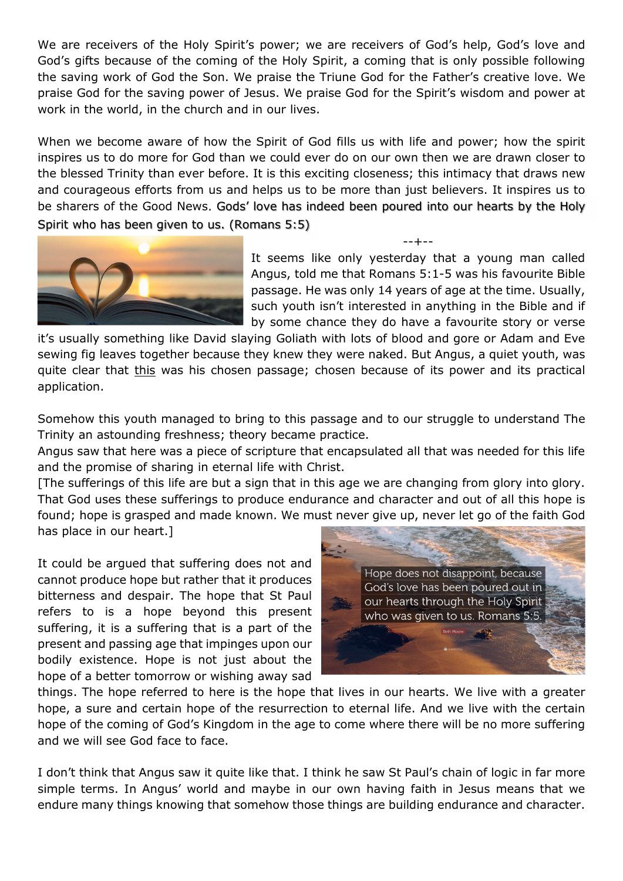We are receivers of the Holy Spirit's power; we are receivers of God's help, God's love and God's gifts because of the coming of the Holy Spirit, a coming that is only possible following the saving work of God the Son. We praise the Triune God for the Father's creative love. We praise God for the saving power of Jesus. We praise God for the Spirit's wisdom and power at work in the world, in the church and in our lives.

When we become aware of how the Spirit of God fills us with life and power; how the spirit inspires us to do more for God than we could ever do on our own then we are drawn closer to the blessed Trinity than ever before. It is this exciting closeness; this intimacy that draws new and courageous efforts from us and helps us to be more than just believers. It inspires us to be sharers of the Good News. Gods' love has indeed been poured into our hearts by the Holy Spirit who has been given to us. (Romans 5:5)



It seems like only yesterday that a young man called Angus, told me that Romans 5:1-5 was his favourite Bible passage. He was only 14 years of age at the time. Usually, such youth isn't interested in anything in the Bible and if by some chance they do have a favourite story or verse

--+--

it's usually something like David slaying Goliath with lots of blood and gore or Adam and Eve sewing fig leaves together because they knew they were naked. But Angus, a quiet youth, was quite clear that this was his chosen passage; chosen because of its power and its practical application.

Somehow this youth managed to bring to this passage and to our struggle to understand The Trinity an astounding freshness; theory became practice.

Angus saw that here was a piece of scripture that encapsulated all that was needed for this life and the promise of sharing in eternal life with Christ.

[The sufferings of this life are but a sign that in this age we are changing from glory into glory. That God uses these sufferings to produce endurance and character and out of all this hope is found; hope is grasped and made known. We must never give up, never let go of the faith God has place in our heart.]

It could be argued that suffering does not and cannot produce hope but rather that it produces bitterness and despair. The hope that St Paul refers to is a hope beyond this present suffering, it is a suffering that is a part of the present and passing age that impinges upon our bodily existence. Hope is not just about the hope of a better tomorrow or wishing away sad



things. The hope referred to here is the hope that lives in our hearts. We live with a greater hope, a sure and certain hope of the resurrection to eternal life. And we live with the certain hope of the coming of God's Kingdom in the age to come where there will be no more suffering and we will see God face to face.

I don't think that Angus saw it quite like that. I think he saw St Paul's chain of logic in far more simple terms. In Angus' world and maybe in our own having faith in Jesus means that we endure many things knowing that somehow those things are building endurance and character.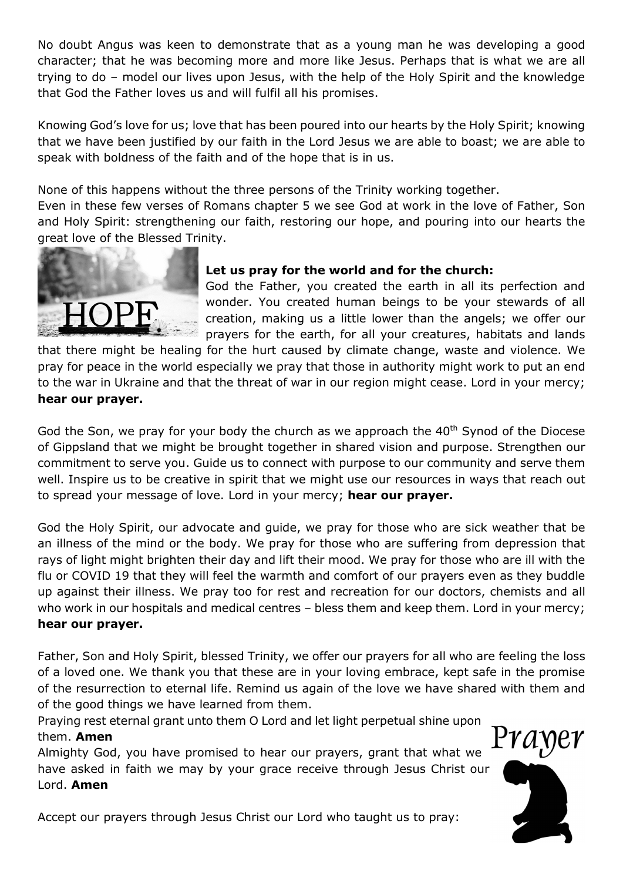No doubt Angus was keen to demonstrate that as a young man he was developing a good character; that he was becoming more and more like Jesus. Perhaps that is what we are all trying to do – model our lives upon Jesus, with the help of the Holy Spirit and the knowledge that God the Father loves us and will fulfil all his promises.

Knowing God's love for us; love that has been poured into our hearts by the Holy Spirit; knowing that we have been justified by our faith in the Lord Jesus we are able to boast; we are able to speak with boldness of the faith and of the hope that is in us.

None of this happens without the three persons of the Trinity working together.

Even in these few verses of Romans chapter 5 we see God at work in the love of Father, Son and Holy Spirit: strengthening our faith, restoring our hope, and pouring into our hearts the great love of the Blessed Trinity.



# Let us pray for the world and for the church:

God the Father, you created the earth in all its perfection and wonder. You created human beings to be your stewards of all creation, making us a little lower than the angels; we offer our prayers for the earth, for all your creatures, habitats and lands

that there might be healing for the hurt caused by climate change, waste and violence. We pray for peace in the world especially we pray that those in authority might work to put an end to the war in Ukraine and that the threat of war in our region might cease. Lord in your mercy; hear our prayer.

God the Son, we pray for your body the church as we approach the  $40<sup>th</sup>$  Synod of the Diocese of Gippsland that we might be brought together in shared vision and purpose. Strengthen our commitment to serve you. Guide us to connect with purpose to our community and serve them well. Inspire us to be creative in spirit that we might use our resources in ways that reach out to spread your message of love. Lord in your mercy; hear our prayer.

God the Holy Spirit, our advocate and guide, we pray for those who are sick weather that be an illness of the mind or the body. We pray for those who are suffering from depression that rays of light might brighten their day and lift their mood. We pray for those who are ill with the flu or COVID 19 that they will feel the warmth and comfort of our prayers even as they buddle up against their illness. We pray too for rest and recreation for our doctors, chemists and all who work in our hospitals and medical centres – bless them and keep them. Lord in your mercy; hear our prayer.

Father, Son and Holy Spirit, blessed Trinity, we offer our prayers for all who are feeling the loss of a loved one. We thank you that these are in your loving embrace, kept safe in the promise of the resurrection to eternal life. Remind us again of the love we have shared with them and of the good things we have learned from them.

Praying rest eternal grant unto them O Lord and let light perpetual shine upon them. Amen

Almighty God, you have promised to hear our prayers, grant that what we have asked in faith we may by your grace receive through Jesus Christ our Lord. Amen



*Y a* ne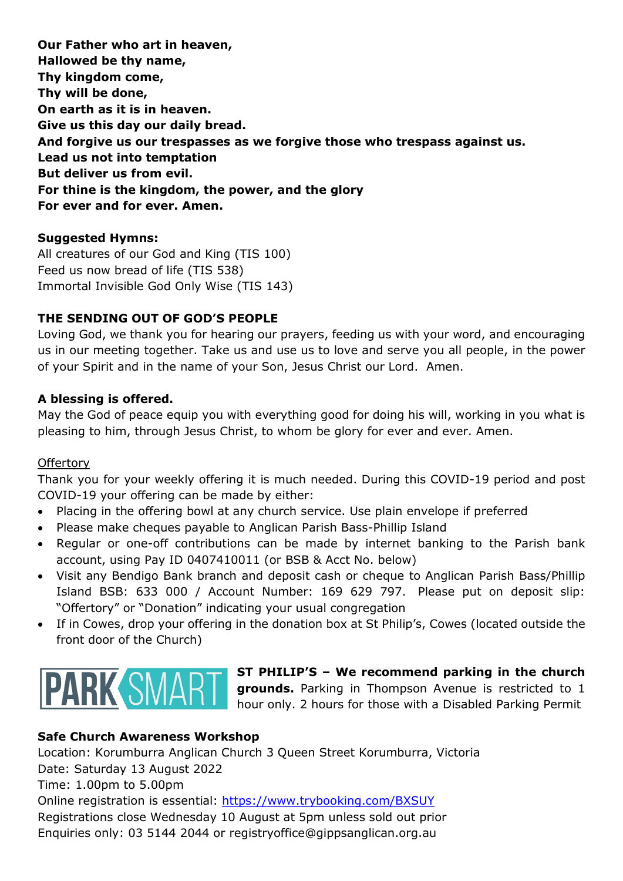Our Father who art in heaven, Hallowed be thy name, Thy kingdom come, Thy will be done, On earth as it is in heaven. Give us this day our daily bread. And forgive us our trespasses as we forgive those who trespass against us. Lead us not into temptation But deliver us from evil. For thine is the kingdom, the power, and the glory For ever and for ever. Amen.

### Suggested Hymns:

All creatures of our God and King (TIS 100) Feed us now bread of life (TIS 538) Immortal Invisible God Only Wise (TIS 143)

# THE SENDING OUT OF GOD'S PEOPLE

Loving God, we thank you for hearing our prayers, feeding us with your word, and encouraging us in our meeting together. Take us and use us to love and serve you all people, in the power of your Spirit and in the name of your Son, Jesus Christ our Lord. Amen.

### A blessing is offered.

May the God of peace equip you with everything good for doing his will, working in you what is pleasing to him, through Jesus Christ, to whom be glory for ever and ever. Amen.

#### **Offertory**

Thank you for your weekly offering it is much needed. During this COVID-19 period and post COVID-19 your offering can be made by either:

- Placing in the offering bowl at any church service. Use plain envelope if preferred
- Please make cheques payable to Anglican Parish Bass-Phillip Island
- Regular or one-off contributions can be made by internet banking to the Parish bank account, using Pay ID 0407410011 (or BSB & Acct No. below)
- Visit any Bendigo Bank branch and deposit cash or cheque to Anglican Parish Bass/Phillip Island BSB: 633 000 / Account Number: 169 629 797. Please put on deposit slip: "Offertory" or "Donation" indicating your usual congregation
- If in Cowes, drop your offering in the donation box at St Philip's, Cowes (located outside the front door of the Church)



# ST PHILIP'S – We recommend parking in the church grounds. Parking in Thompson Avenue is restricted to 1 hour only. 2 hours for those with a Disabled Parking Permit

### Safe Church Awareness Workshop

Location: Korumburra Anglican Church 3 Queen Street Korumburra, Victoria Date: Saturday 13 August 2022 Time: 1.00pm to 5.00pm Online registration is essential: https://www.trybooking.com/BXSUY Registrations close Wednesday 10 August at 5pm unless sold out prior Enquiries only: 03 5144 2044 or registryoffice@gippsanglican.org.au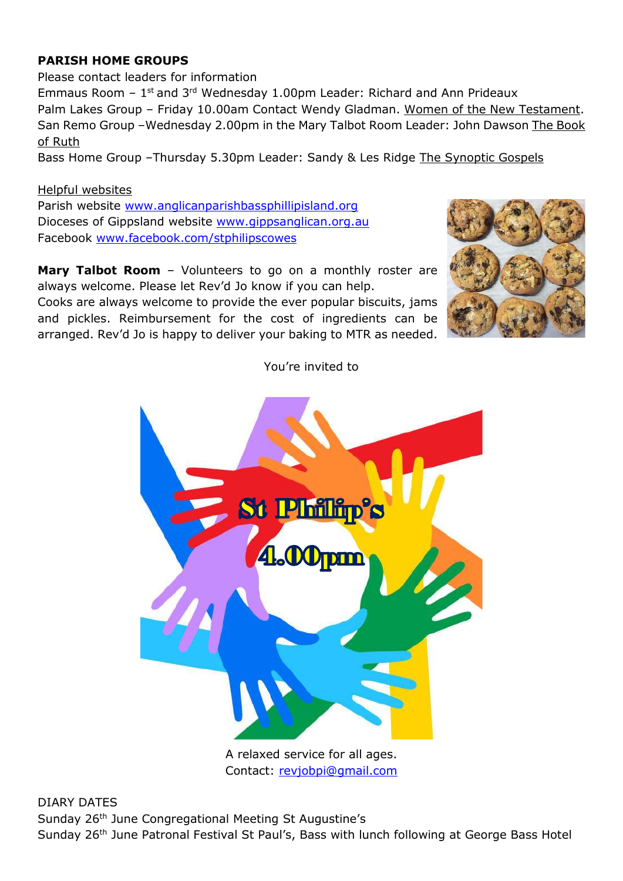# PARISH HOME GROUPS

Please contact leaders for information Emmaus Room  $-1$ <sup>st</sup> and 3<sup>rd</sup> Wednesday 1.00pm Leader: Richard and Ann Prideaux Palm Lakes Group – Friday 10.00am Contact Wendy Gladman. Women of the New Testament. San Remo Group –Wednesday 2.00pm in the Mary Talbot Room Leader: John Dawson The Book of Ruth

Bass Home Group –Thursday 5.30pm Leader: Sandy & Les Ridge The Synoptic Gospels

#### Helpful websites

Parish website www.anglicanparishbassphillipisland.org Dioceses of Gippsland website www.gippsanglican.org.au Facebook www.facebook.com/stphilipscowes

Mary Talbot Room - Volunteers to go on a monthly roster are always welcome. Please let Rev'd Jo know if you can help.

Cooks are always welcome to provide the ever popular biscuits, jams and pickles. Reimbursement for the cost of ingredients can be arranged. Rev'd Jo is happy to deliver your baking to MTR as needed.



You're invited to



A relaxed service for all ages. Contact: revjobpi@gmail.com

DIARY DATES Sunday 26th June Congregational Meeting St Augustine's Sunday 26<sup>th</sup> June Patronal Festival St Paul's, Bass with lunch following at George Bass Hotel